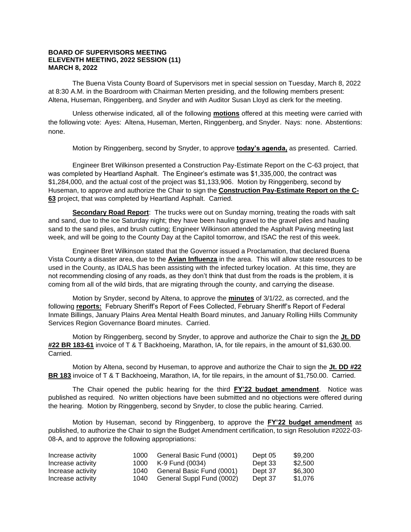## **BOARD OF SUPERVISORS MEETING ELEVENTH MEETING, 2022 SESSION (11) MARCH 8, 2022**

The Buena Vista County Board of Supervisors met in special session on Tuesday, March 8, 2022 at 8:30 A.M. in the Boardroom with Chairman Merten presiding, and the following members present: Altena, Huseman, Ringgenberg, and Snyder and with Auditor Susan Lloyd as clerk for the meeting.

Unless otherwise indicated, all of the following **motions** offered at this meeting were carried with the following vote: Ayes: Altena, Huseman, Merten, Ringgenberg, and Snyder. Nays: none. Abstentions: none.

Motion by Ringgenberg, second by Snyder, to approve **today's agenda,** as presented. Carried.

Engineer Bret Wilkinson presented a Construction Pay-Estimate Report on the C-63 project, that was completed by Heartland Asphalt. The Engineer's estimate was \$1,335,000, the contract was \$1,284,000, and the actual cost of the project was \$1,133,906. Motion by Ringgenberg, second by Huseman, to approve and authorize the Chair to sign the **Construction Pay-Estimate Report on the C-63** project, that was completed by Heartland Asphalt. Carried.

**Secondary Road Report**: The trucks were out on Sunday morning, treating the roads with salt and sand, due to the ice Saturday night; they have been hauling gravel to the gravel piles and hauling sand to the sand piles, and brush cutting; Engineer Wilkinson attended the Asphalt Paving meeting last week, and will be going to the County Day at the Capitol tomorrow, and ISAC the rest of this week.

Engineer Bret Wilkinson stated that the Governor issued a Proclamation, that declared Buena Vista County a disaster area, due to the **Avian Influenza** in the area. This will allow state resources to be used in the County, as IDALS has been assisting with the infected turkey location. At this time, they are not recommending closing of any roads, as they don't think that dust from the roads is the problem, it is coming from all of the wild birds, that are migrating through the county, and carrying the disease.

Motion by Snyder, second by Altena, to approve the **minutes** of 3/1/22, as corrected, and the following **reports:** February Sheriff's Report of Fees Collected, February Sheriff's Report of Federal Inmate Billings, January Plains Area Mental Health Board minutes, and January Rolling Hills Community Services Region Governance Board minutes. Carried.

Motion by Ringgenberg, second by Snyder, to approve and authorize the Chair to sign the **Jt. DD #22 BR 183-61** invoice of T & T Backhoeing, Marathon, IA, for tile repairs, in the amount of \$1,630.00. **Carried** 

Motion by Altena, second by Huseman, to approve and authorize the Chair to sign the **Jt. DD #22 BR 183** invoice of T & T Backhoeing, Marathon, IA, for tile repairs, in the amount of \$1,750.00. Carried.

The Chair opened the public hearing for the third **FY'22 budget amendment**. Notice was published as required. No written objections have been submitted and no objections were offered during the hearing. Motion by Ringgenberg, second by Snyder, to close the public hearing. Carried.

Motion by Huseman, second by Ringgenberg, to approve the **FY'22 budget amendment** as published, to authorize the Chair to sign the Budget Amendment certification, to sign Resolution #2022-03- 08-A, and to approve the following appropriations:

| Increase activity | 1000   | General Basic Fund (0001) | Dept 05 | \$9.200 |
|-------------------|--------|---------------------------|---------|---------|
| Increase activity | 1000   | K-9 Fund (0034)           | Dept 33 | \$2.500 |
| Increase activity | 1040 - | General Basic Fund (0001) | Dept 37 | \$6.300 |
| Increase activity | 1040   | General Suppl Fund (0002) | Dept 37 | \$1.076 |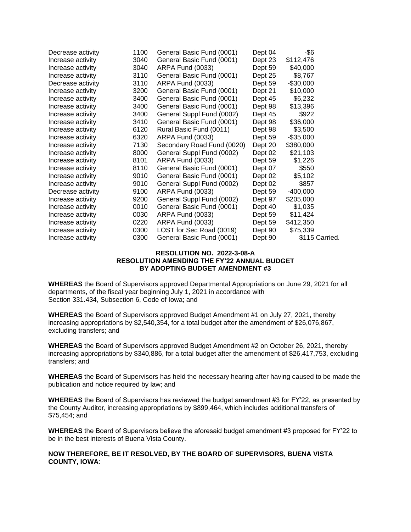| Decrease activity | 1100 | General Basic Fund (0001)  | Dept 04 | -\$6         |                |
|-------------------|------|----------------------------|---------|--------------|----------------|
| Increase activity | 3040 | General Basic Fund (0001)  | Dept 23 | \$112,476    |                |
| Increase activity | 3040 | ARPA Fund (0033)           | Dept 59 | \$40,000     |                |
| Increase activity | 3110 | General Basic Fund (0001)  | Dept 25 | \$8,767      |                |
| Decrease activity | 3110 | ARPA Fund (0033)           | Dept 59 | $-$30,000$   |                |
| Increase activity | 3200 | General Basic Fund (0001)  | Dept 21 | \$10,000     |                |
| Increase activity | 3400 | General Basic Fund (0001)  | Dept 45 | \$6,232      |                |
| Increase activity | 3400 | General Basic Fund (0001)  | Dept 98 | \$13,396     |                |
| Increase activity | 3400 | General Suppl Fund (0002)  | Dept 45 | \$922        |                |
| Increase activity | 3410 | General Basic Fund (0001)  | Dept 98 | \$36,000     |                |
| Increase activity | 6120 | Rural Basic Fund (0011)    | Dept 98 | \$3,500      |                |
| Increase activity | 6320 | ARPA Fund (0033)           | Dept 59 | $-$ \$35,000 |                |
| Increase activity | 7130 | Secondary Road Fund (0020) | Dept 20 | \$380,000    |                |
| Increase activity | 8000 | General Suppl Fund (0002)  | Dept 02 | \$21,103     |                |
| Increase activity | 8101 | ARPA Fund (0033)           | Dept 59 | \$1,226      |                |
| Increase activity | 8110 | General Basic Fund (0001)  | Dept 07 | \$550        |                |
| Increase activity | 9010 | General Basic Fund (0001)  | Dept 02 | \$5,102      |                |
| Increase activity | 9010 | General Suppl Fund (0002)  | Dept 02 | \$857        |                |
| Decrease activity | 9100 | ARPA Fund (0033)           | Dept 59 | $-400,000$   |                |
| Increase activity | 9200 | General Suppl Fund (0002)  | Dept 97 | \$205,000    |                |
| Increase activity | 0010 | General Basic Fund (0001)  | Dept 40 | \$1,035      |                |
| Increase activity | 0030 | ARPA Fund (0033)           | Dept 59 | \$11,424     |                |
| Increase activity | 0220 | ARPA Fund (0033)           | Dept 59 | \$412,350    |                |
| Increase activity | 0300 | LOST for Sec Road (0019)   | Dept 90 | \$75,339     |                |
| Increase activity | 0300 | General Basic Fund (0001)  | Dept 90 |              | \$115 Carried. |

## **RESOLUTION NO. 2022-3-08-A RESOLUTION AMENDING THE FY'22 ANNUAL BUDGET BY ADOPTING BUDGET AMENDMENT #3**

**WHEREAS** the Board of Supervisors approved Departmental Appropriations on June 29, 2021 for all departments, of the fiscal year beginning July 1, 2021 in accordance with Section 331.434, Subsection 6, Code of Iowa; and

**WHEREAS** the Board of Supervisors approved Budget Amendment #1 on July 27, 2021, thereby increasing appropriations by \$2,540,354, for a total budget after the amendment of \$26,076,867, excluding transfers; and

**WHEREAS** the Board of Supervisors approved Budget Amendment #2 on October 26, 2021, thereby increasing appropriations by \$340,886, for a total budget after the amendment of \$26,417,753, excluding transfers; and

**WHEREAS** the Board of Supervisors has held the necessary hearing after having caused to be made the publication and notice required by law; and

**WHEREAS** the Board of Supervisors has reviewed the budget amendment #3 for FY'22, as presented by the County Auditor, increasing appropriations by \$899,464, which includes additional transfers of \$75,454; and

**WHEREAS** the Board of Supervisors believe the aforesaid budget amendment #3 proposed for FY'22 to be in the best interests of Buena Vista County.

## **NOW THEREFORE, BE IT RESOLVED, BY THE BOARD OF SUPERVISORS, BUENA VISTA COUNTY, IOWA**: